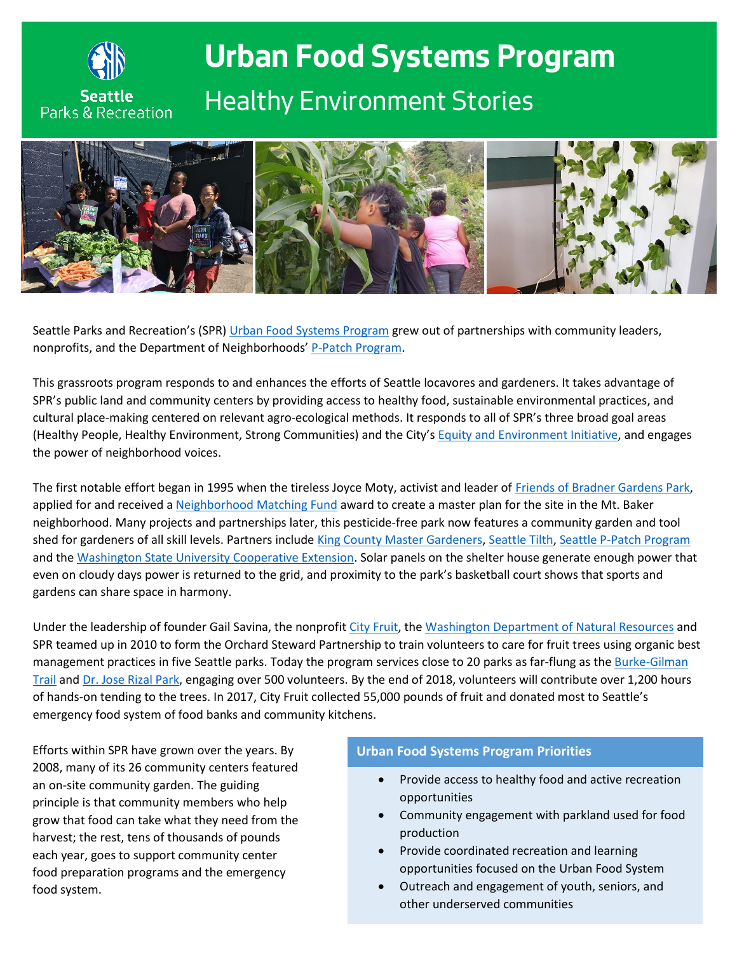

## **Urban Food Systems Program** *Healthy Environment Stories*



Seattle Parks and Recreation's (SPR) [Urban Food Systems Program](https://www.seattle.gov/parks/about-us/special-initiatives-and-programs/urban-food-systems-program) grew out of partnerships with community leaders, nonprofits, and the Department of Neighborhoods' [P-Patch Program.](http://www.seattle.gov/neighborhoods/programs-and-services/p-patch-community-gardening)

This grassroots program responds to and enhances the efforts of Seattle locavores and gardeners. It takes advantage of SPR's public land and community centers by providing access to healthy food, sustainable environmental practices, and cultural place-making centered on relevant agro-ecological methods. It responds to all of SPR's three broad goal areas (Healthy People, Healthy Environment, Strong Communities) and the City's [Equity and Environment Initiative,](http://www.seattle.gov/environment/environmental-equity/equity-and-environment-initiative) and engages the power of neighborhood voices.

The first notable effort began in 1995 when the tireless Joyce Moty, activist and leader of [Friends of Bradner Gardens](https://bradnergardens.wordpress.com/) Park, applied for and received a [Neighborhood Matching Fund](http://www.seattle.gov/neighborhoods/programs-and-services/neighborhood-matching-fund) award to create a master plan for the site in the Mt. Baker neighborhood. Many projects and partnerships later, this pesticide-free park now features a community garden and tool shed for gardeners of all skill levels. Partners includ[e King County Master Gardeners,](http://www.mgfkc.org/) [Seattle Tilth,](http://www.seattletilth.org/) [Seattle P-Patch Program](http://www.seattle.gov/neighborhoods/programs-and-services/p-patch-community-gardening) and the [Washington State University Cooperative Extension.](file:///C:/Users/burleyt/AppData/Local/Microsoft/Windows/Temporary%20Internet%20Files/Content.Outlook/6A1TE0G1/extension.wsu.edu/king/) Solar panels on the shelter house generate enough power that even on cloudy days power is returned to the grid, and proximity to the park's basketball court shows that sports and gardens can share space in harmony.

Under the leadership of founder Gail Savina, the nonprofit [City Fruit,](https://www.cityfruit.org/) th[e Washington Department of Natural Resources](https://www.dnr.wa.gov/) and SPR teamed up in 2010 to form the Orchard Steward Partnership to train volunteers to care for fruit trees using organic best management practices in five Seattle parks. Today the program services close to 20 parks as far-flung as the Burke-Gilman [Trail](https://www.seattle.gov/parks/find/parks/burke-gilman-trail) an[d Dr. Jose Rizal Park,](http://www.seattle.gov/parks/find/parks/dr-jose-rizal-park) engaging over 500 volunteers. By the end of 2018, volunteers will contribute over 1,200 hours of hands-on tending to the trees. In 2017, City Fruit collected 55,000 pounds of fruit and donated most to Seattle's emergency food system of food banks and community kitchens.

Efforts within SPR have grown over the years. By 2008, many of its 26 community centers featured an on-site community garden. The guiding principle is that community members who help grow that food can take what they need from the harvest; the rest, tens of thousands of pounds each year, goes to support community center food preparation programs and the emergency food system.

## **Urban Food Systems Program Priorities**

- Provide access to healthy food and active recreation opportunities
- Community engagement with parkland used for food production
- Provide coordinated recreation and learning opportunities focused on the Urban Food System
- Outreach and engagement of youth, seniors, and other underserved communities